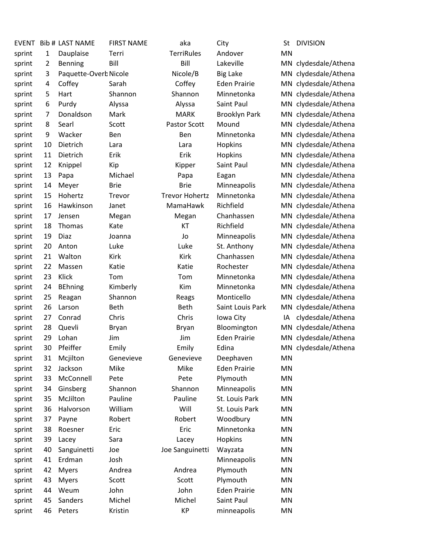| <b>EVENT</b> |    | <b>Bib # LAST NAME</b> | <b>FIRST NAME</b> | aka                   | City                 | St  | <b>DIVISION</b>      |
|--------------|----|------------------------|-------------------|-----------------------|----------------------|-----|----------------------|
| sprint       | 1  | Dauplaise              | Terri             | <b>TerriRules</b>     | Andover              | MN  |                      |
| sprint       | 2  | <b>Benning</b>         | Bill              | Bill                  | Lakeville            |     | MN clydesdale/Athena |
| sprint       | 3  | Paquette-Overk Nicole  |                   | Nicole/B              | <b>Big Lake</b>      | MN. | clydesdale/Athena    |
| sprint       | 4  | Coffey                 | Sarah             | Coffey                | <b>Eden Prairie</b>  |     | MN clydesdale/Athena |
| sprint       | 5  | Hart                   | Shannon           | Shannon               | Minnetonka           | MN  | clydesdale/Athena    |
| sprint       | 6  | Purdy                  | Alyssa            | Alyssa                | Saint Paul           | MN  | clydesdale/Athena    |
| sprint       | 7  | Donaldson              | Mark              | <b>MARK</b>           | <b>Brooklyn Park</b> | MN  | clydesdale/Athena    |
| sprint       | 8  | Searl                  | Scott             | <b>Pastor Scott</b>   | Mound                | MN  | clydesdale/Athena    |
| sprint       | 9  | Wacker                 | Ben               | Ben                   | Minnetonka           |     | MN clydesdale/Athena |
| sprint       | 10 | Dietrich               | Lara              | Lara                  | Hopkins              |     | MN clydesdale/Athena |
| sprint       | 11 | Dietrich               | Erik              | Erik                  | Hopkins              | MN  | clydesdale/Athena    |
| sprint       | 12 | Knippel                | Kip               | Kipper                | Saint Paul           | MN  | clydesdale/Athena    |
| sprint       | 13 | Papa                   | Michael           | Papa                  | Eagan                |     | MN clydesdale/Athena |
| sprint       | 14 | Meyer                  | <b>Brie</b>       | <b>Brie</b>           | Minneapolis          |     | MN clydesdale/Athena |
| sprint       | 15 | Hohertz                | Trevor            | <b>Trevor Hohertz</b> | Minnetonka           |     | MN clydesdale/Athena |
| sprint       | 16 | Hawkinson              | Janet             | MamaHawk              | Richfield            |     | MN clydesdale/Athena |
| sprint       | 17 | Jensen                 | Megan             | Megan                 | Chanhassen           |     | MN clydesdale/Athena |
| sprint       | 18 | Thomas                 | Kate              | KT                    | Richfield            |     | MN clydesdale/Athena |
| sprint       | 19 | Diaz                   | Joanna            | Jo                    | Minneapolis          |     | MN clydesdale/Athena |
| sprint       | 20 | Anton                  | Luke              | Luke                  | St. Anthony          |     | MN clydesdale/Athena |
| sprint       | 21 | Walton                 | Kirk              | Kirk                  | Chanhassen           | MN  | clydesdale/Athena    |
| sprint       | 22 | Massen                 | Katie             | Katie                 | Rochester            |     | MN clydesdale/Athena |
| sprint       | 23 | Klick                  | Tom               | Tom                   | Minnetonka           |     | MN clydesdale/Athena |
| sprint       | 24 | <b>BEhning</b>         | Kimberly          | Kim                   | Minnetonka           | MN  | clydesdale/Athena    |
| sprint       | 25 | Reagan                 | Shannon           | Reags                 | Monticello           | MN  | clydesdale/Athena    |
| sprint       | 26 | Larson                 | Beth              | <b>Beth</b>           | Saint Louis Park     | MN  | clydesdale/Athena    |
| sprint       | 27 | Conrad                 | Chris             | Chris                 | Iowa City            | IA  | clydesdale/Athena    |
| sprint       | 28 | Quevli                 | <b>Bryan</b>      | <b>Bryan</b>          | Bloomington          | MN  | clydesdale/Athena    |
| sprint       | 29 | Lohan                  | Jim               | Jim                   | <b>Eden Prairie</b>  | MN  | clydesdale/Athena    |
| sprint       | 30 | Pfeiffer               | Emily             | Emily                 | Edina                |     | MN clydesdale/Athena |
| sprint       | 31 | Mcjilton               | Genevieve         | Genevieve             | Deephaven            | MN  |                      |
| sprint       | 32 | Jackson                | Mike              | Mike                  | <b>Eden Prairie</b>  | MN  |                      |
| sprint       | 33 | McConnell              | Pete              | Pete                  | Plymouth             | MN  |                      |
| sprint       | 34 | Ginsberg               | Shannon           | Shannon               | Minneapolis          | MN  |                      |
| sprint       | 35 | McJilton               | Pauline           | Pauline               | St. Louis Park       | MN  |                      |
| sprint       | 36 | Halvorson              | William           | Will                  | St. Louis Park       | MN  |                      |
| sprint       | 37 | Payne                  | Robert            | Robert                | Woodbury             | MN  |                      |
| sprint       | 38 | Roesner                | Eric              | Eric                  | Minnetonka           | MN  |                      |
| sprint       | 39 | Lacey                  | Sara              | Lacey                 | Hopkins              | MN  |                      |
| sprint       | 40 | Sanguinetti            | Joe               | Joe Sanguinetti       | Wayzata              | ΜN  |                      |
| sprint       | 41 | Erdman                 | Josh              |                       | Minneapolis          | MN  |                      |
| sprint       | 42 | <b>Myers</b>           | Andrea            | Andrea                | Plymouth             | MN  |                      |
| sprint       | 43 | <b>Myers</b>           | Scott             | Scott                 | Plymouth             | MN  |                      |
| sprint       | 44 | Weum                   | John              | John                  | <b>Eden Prairie</b>  | MN  |                      |
| sprint       | 45 | Sanders                | Michel            | Michel                | Saint Paul           | ΜN  |                      |
| sprint       | 46 | Peters                 | Kristin           | KP                    | minneapolis          | MN  |                      |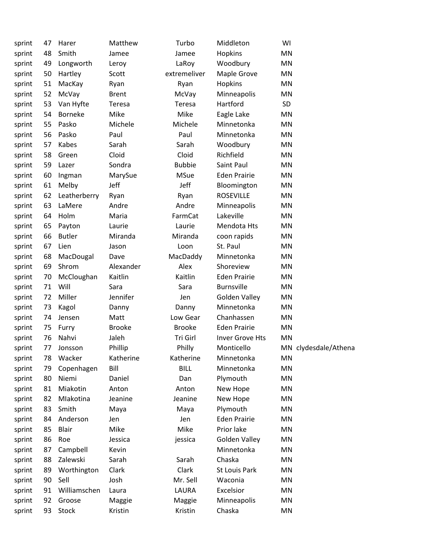| sprint | 47 | Harer         | Matthew       | Turbo         | Middleton           | WI                   |
|--------|----|---------------|---------------|---------------|---------------------|----------------------|
| sprint | 48 | Smith         | Jamee         | Jamee         | Hopkins             | MN                   |
| sprint | 49 | Longworth     | Leroy         | LaRoy         | Woodbury            | MN                   |
| sprint | 50 | Hartley       | Scott         | extremeliver  | Maple Grove         | MN                   |
| sprint | 51 | MacKay        | Ryan          | Ryan          | Hopkins             | MN                   |
| sprint | 52 | McVay         | <b>Brent</b>  | McVay         | Minneapolis         | MN                   |
| sprint | 53 | Van Hyfte     | Teresa        | Teresa        | Hartford            | SD                   |
| sprint | 54 | Borneke       | Mike          | Mike          | Eagle Lake          | MN                   |
| sprint | 55 | Pasko         | Michele       | Michele       | Minnetonka          | MN                   |
| sprint | 56 | Pasko         | Paul          | Paul          | Minnetonka          | MN                   |
| sprint | 57 | Kabes         | Sarah         | Sarah         | Woodbury            | MN                   |
| sprint | 58 | Green         | Cloid         | Cloid         | Richfield           | MN                   |
| sprint | 59 | Lazer         | Sondra        | <b>Bubbie</b> | Saint Paul          | MN                   |
| sprint | 60 | Ingman        | MarySue       | <b>MSue</b>   | <b>Eden Prairie</b> | MN                   |
| sprint | 61 | Melby         | Jeff          | Jeff          | Bloomington         | MN                   |
| sprint | 62 | Leatherberry  | Ryan          | Ryan          | <b>ROSEVILLE</b>    | MN                   |
| sprint | 63 | LaMere        | Andre         | Andre         | Minneapolis         | MN                   |
| sprint | 64 | Holm          | Maria         | FarmCat       | Lakeville           | MN                   |
| sprint | 65 | Payton        | Laurie        | Laurie        | Mendota Hts         | MN                   |
| sprint | 66 | <b>Butler</b> | Miranda       | Miranda       | coon rapids         | MN                   |
| sprint | 67 | Lien          | Jason         | Loon          | St. Paul            | MN                   |
| sprint | 68 | MacDougal     | Dave          | MacDaddy      | Minnetonka          | MN                   |
| sprint | 69 | Shrom         | Alexander     | Alex          | Shoreview           | MN                   |
| sprint | 70 | McCloughan    | Kaitlin       | Kaitlin       | <b>Eden Prairie</b> | MN                   |
| sprint | 71 | Will          | Sara          | Sara          | <b>Burnsville</b>   | MN                   |
| sprint | 72 | Miller        | Jennifer      | Jen           | Golden Valley       | MN                   |
| sprint | 73 | Kagol         | Danny         | Danny         | Minnetonka          | MN                   |
| sprint | 74 | Jensen        | Matt          | Low Gear      | Chanhassen          | MN                   |
| sprint | 75 | Furry         | <b>Brooke</b> | <b>Brooke</b> | <b>Eden Prairie</b> | MN                   |
| sprint | 76 | Nahvi         | Jaleh         | Tri Girl      | Inver Grove Hts     | <b>MN</b>            |
| sprint | 77 | Jonsson       | Phillip       | Philly        | Monticello          | MN clydesdale/Athena |
| sprint | 78 | Wacker        | Katherine     | Katherine     | Minnetonka          | <b>MN</b>            |
| sprint | 79 | Copenhagen    | Bill          | <b>BILL</b>   | Minnetonka          | MN                   |
| sprint | 80 | Niemi         | Daniel        | Dan           | Plymouth            | MN                   |
| sprint | 81 | Miakotin      | Anton         | Anton         | New Hope            | MN                   |
| sprint | 82 | Mlakotina     | Jeanine       | Jeanine       | New Hope            | MN                   |
| sprint | 83 | Smith         | Maya          | Maya          | Plymouth            | MN                   |
| sprint | 84 | Anderson      | Jen           | Jen           | <b>Eden Prairie</b> | <b>MN</b>            |
| sprint | 85 | <b>Blair</b>  | Mike          | Mike          | Prior lake          | MN                   |
| sprint | 86 | Roe           | Jessica       | jessica       | Golden Valley       | MN                   |
| sprint | 87 | Campbell      | Kevin         |               | Minnetonka          | MN                   |
| sprint | 88 | Zalewski      | Sarah         | Sarah         | Chaska              | MN                   |
| sprint | 89 | Worthington   | Clark         | Clark         | St Louis Park       | MN                   |
| sprint | 90 | Sell          | Josh          | Mr. Sell      | Waconia             | MN                   |
| sprint | 91 | Williamschen  | Laura         | LAURA         | Excelsior           | <b>MN</b>            |
| sprint | 92 | Groose        | Maggie        | Maggie        | Minneapolis         | MN                   |
| sprint | 93 | Stock         | Kristin       | Kristin       | Chaska              | MN                   |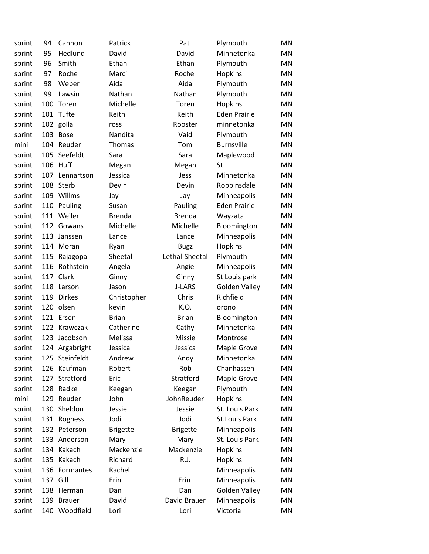| sprint | 94  | Cannon         | Patrick         | Pat             | Plymouth            | MN        |
|--------|-----|----------------|-----------------|-----------------|---------------------|-----------|
| sprint | 95  | Hedlund        | David           | David           | Minnetonka          | <b>MN</b> |
| sprint | 96  | Smith          | Ethan           | Ethan           | Plymouth            | <b>MN</b> |
| sprint | 97  | Roche          | Marci           | Roche           | Hopkins             | <b>MN</b> |
| sprint | 98  | Weber          | Aida            | Aida            | Plymouth            | MN        |
| sprint | 99  | Lawsin         | Nathan          | Nathan          | Plymouth            | <b>MN</b> |
| sprint | 100 | Toren          | Michelle        | Toren           | Hopkins             | MN        |
| sprint | 101 | Tufte          | Keith           | Keith           | <b>Eden Prairie</b> | <b>MN</b> |
| sprint |     | 102 golla      | ross            | Rooster         | minnetonka          | <b>MN</b> |
| sprint | 103 | <b>Bose</b>    | Nandita         | Vaid            | Plymouth            | MN        |
| mini   | 104 | Reuder         | Thomas          | Tom             | <b>Burnsville</b>   | <b>MN</b> |
| sprint | 105 | Seefeldt       | Sara            | Sara            | Maplewood           | MN        |
| sprint | 106 | Huff           | Megan           | Megan           | St                  | <b>MN</b> |
| sprint | 107 | Lennartson     | Jessica         | Jess            | Minnetonka          | <b>MN</b> |
| sprint | 108 | Sterb          | Devin           | Devin           | Robbinsdale         | MN        |
| sprint | 109 | Willms         | Jay             | Jay             | Minneapolis         | MN        |
| sprint | 110 | Pauling        | Susan           | Pauling         | <b>Eden Prairie</b> | MN        |
| sprint | 111 | Weiler         | <b>Brenda</b>   | <b>Brenda</b>   | Wayzata             | <b>MN</b> |
| sprint | 112 | Gowans         | Michelle        | Michelle        | Bloomington         | MN        |
| sprint | 113 | Janssen        | Lance           | Lance           | Minneapolis         | MN        |
| sprint | 114 | Moran          | Ryan            | <b>Bugz</b>     | Hopkins             | <b>MN</b> |
| sprint | 115 | Rajagopal      | Sheetal         | Lethal-Sheetal  | Plymouth            | <b>MN</b> |
| sprint | 116 | Rothstein      | Angela          | Angie           | Minneapolis         | <b>MN</b> |
| sprint | 117 | Clark          | Ginny           | Ginny           | St Louis park       | MN        |
| sprint | 118 | Larson         | Jason           | J-LARS          | Golden Valley       | <b>MN</b> |
| sprint | 119 | <b>Dirkes</b>  | Christopher     | Chris           | Richfield           | MN        |
| sprint | 120 | olsen          | kevin           | K.O.            | orono               | <b>MN</b> |
| sprint | 121 | Erson          | <b>Brian</b>    | <b>Brian</b>    | Bloomington         | <b>MN</b> |
| sprint | 122 | Krawczak       | Catherine       | Cathy           | Minnetonka          | MN        |
| sprint | 123 | Jacobson       | Melissa         | Missie          | Montrose            | <b>MN</b> |
| sprint |     | 124 Argabright | Jessica         | Jessica         | Maple Grove         | MN        |
| sprint |     | 125 Steinfeldt | Andrew          | Andy            | Minnetonka          | MN        |
| sprint | 126 | Kaufman        | Robert          | Rob             | Chanhassen          | <b>MN</b> |
| sprint | 127 | Stratford      | Eric            | Stratford       | Maple Grove         | MN        |
| sprint | 128 | Radke          | Keegan          | Keegan          | Plymouth            | <b>MN</b> |
| mini   | 129 | Reuder         | John            | JohnReuder      | Hopkins             | MN        |
| sprint | 130 | Sheldon        | Jessie          | Jessie          | St. Louis Park      | MN        |
| sprint | 131 | Rogness        | Jodi            | Jodi            | St.Louis Park       | MN        |
| sprint | 132 | Peterson       | <b>Brigette</b> | <b>Brigette</b> | Minneapolis         | MN        |
| sprint | 133 | Anderson       | Mary            | Mary            | St. Louis Park      | <b>MN</b> |
| sprint | 134 | Kakach         | Mackenzie       | Mackenzie       | Hopkins             | MN        |
| sprint | 135 | Kakach         | Richard         | R.J.            | Hopkins             | MN        |
| sprint | 136 | Formantes      | Rachel          |                 | Minneapolis         | MN        |
| sprint | 137 | Gill           | Erin            | Erin            | Minneapolis         | MN        |
| sprint | 138 | Herman         | Dan             | Dan             | Golden Valley       | MN        |
| sprint | 139 | <b>Brauer</b>  | David           | David Brauer    | Minneapolis         | MN        |
| sprint | 140 | Woodfield      | Lori            | Lori            | Victoria            | MN        |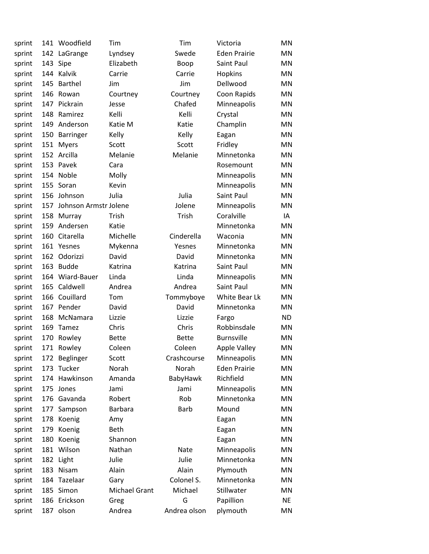| sprint |     | 141 Woodfield         | Tim            | Tim          | Victoria            | MN        |
|--------|-----|-----------------------|----------------|--------------|---------------------|-----------|
| sprint |     | 142 LaGrange          | Lyndsey        | Swede        | <b>Eden Prairie</b> | MN        |
| sprint |     | 143 Sipe              | Elizabeth      | Boop         | Saint Paul          | MN.       |
| sprint | 144 | Kalvik                | Carrie         | Carrie       | Hopkins             | MN        |
| sprint | 145 | <b>Barthel</b>        | Jim            | Jim          | Dellwood            | MN        |
| sprint | 146 | Rowan                 | Courtney       | Courtney     | Coon Rapids         | MN        |
| sprint | 147 | Pickrain              | Jesse          | Chafed       | Minneapolis         | MN        |
| sprint | 148 | Ramirez               | Kelli          | Kelli        | Crystal             | MN        |
| sprint | 149 | Anderson              | Katie M        | Katie        | Champlin            | MN        |
| sprint | 150 | Barringer             | Kelly          | Kelly        | Eagan               | MN        |
| sprint | 151 | <b>Myers</b>          | Scott          | Scott        | Fridley             | MN        |
| sprint |     | 152 Arcilla           | Melanie        | Melanie      | Minnetonka          | MN        |
| sprint |     | 153 Pavek             | Cara           |              | Rosemount           | MN        |
| sprint | 154 | Noble                 | Molly          |              | Minneapolis         | MN        |
| sprint | 155 | Soran                 | Kevin          |              | Minneapolis         | MN        |
| sprint | 156 | Johnson               | Julia          | Julia        | Saint Paul          | MN        |
| sprint | 157 | Johnson Armstr Jolene |                | Jolene       | Minneapolis         | <b>MN</b> |
| sprint | 158 | Murray                | Trish          | Trish        | Coralville          | IA        |
| sprint | 159 | Andersen              | Katie          |              | Minnetonka          | MN        |
| sprint | 160 | Citarella             | Michelle       | Cinderella   | Waconia             | MN        |
| sprint | 161 | Yesnes                | Mykenna        | Yesnes       | Minnetonka          | MN        |
| sprint | 162 | Odorizzi              | David          | David        | Minnetonka          | MN        |
| sprint | 163 | <b>Budde</b>          | Katrina        | Katrina      | Saint Paul          | MN        |
| sprint | 164 | Wiard-Bauer           | Linda          | Linda        | Minneapolis         | MN        |
| sprint | 165 | Caldwell              | Andrea         | Andrea       | Saint Paul          | MN        |
| sprint | 166 | Couillard             | Tom            | Tommyboye    | White Bear Lk       | MN        |
| sprint | 167 | Pender                | David          | David        | Minnetonka          | ΜN        |
| sprint | 168 | McNamara              | Lizzie         | Lizzie       | Fargo               | <b>ND</b> |
| sprint | 169 | Tamez                 | Chris          | Chris        | Robbinsdale         | MN        |
| sprint | 170 | Rowley                | <b>Bette</b>   | <b>Bette</b> | <b>Burnsville</b>   | ΜN        |
| sprint |     | 171 Rowley            | Coleen         | Coleen       | <b>Apple Valley</b> | MN        |
| sprint | 172 | Beglinger             | Scott          | Crashcourse  | Minneapolis         | MN        |
| sprint | 173 | Tucker                | Norah          | Norah        | <b>Eden Prairie</b> | <b>MN</b> |
| sprint |     | 174 Hawkinson         | Amanda         | BabyHawk     | Richfield           | MN        |
| sprint | 175 | Jones                 | Jami           | Jami         | Minneapolis         | MN        |
| sprint | 176 | Gavanda               | Robert         | Rob          | Minnetonka          | MN        |
| sprint | 177 | Sampson               | <b>Barbara</b> | <b>Barb</b>  | Mound               | MN        |
| sprint | 178 | Koenig                | Amy            |              | Eagan               | MN        |
| sprint | 179 | Koenig                | <b>Beth</b>    |              | Eagan               | MN        |
| sprint | 180 | Koenig                | Shannon        |              | Eagan               | MN        |
| sprint | 181 | Wilson                | Nathan         | Nate         | Minneapolis         | MN        |
| sprint | 182 | Light                 | Julie          | Julie        | Minnetonka          | MN        |
| sprint | 183 | Nisam                 | Alain          | Alain        | Plymouth            | MN        |
| sprint | 184 | Tazelaar              | Gary           | Colonel S.   | Minnetonka          | MN        |
| sprint | 185 | Simon                 | Michael Grant  | Michael      | Stillwater          | MN        |
| sprint | 186 | Erickson              | Greg           | G            | Papillion           | <b>NE</b> |
| sprint |     | 187 olson             | Andrea         | Andrea olson | plymouth            | MN        |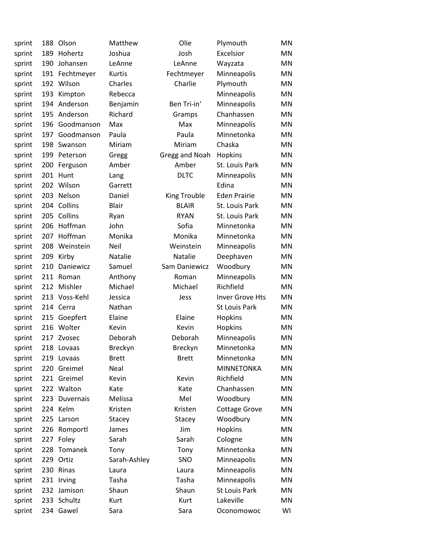| sprint | 188 | Olson        | Matthew        | Olie           | Plymouth             | MN        |
|--------|-----|--------------|----------------|----------------|----------------------|-----------|
| sprint | 189 | Hohertz      | Joshua         | Josh           | Excelsior            | MN        |
| sprint | 190 | Johansen     | LeAnne         | LeAnne         | Wayzata              | MN        |
| sprint | 191 | Fechtmeyer   | Kurtis         | Fechtmeyer     | Minneapolis          | MN        |
| sprint | 192 | Wilson       | Charles        | Charlie        | Plymouth             | MN        |
| sprint | 193 | Kimpton      | Rebecca        |                | Minneapolis          | MN        |
| sprint | 194 | Anderson     | Benjamin       | Ben Tri-in'    | Minneapolis          | MN        |
| sprint | 195 | Anderson     | Richard        | Gramps         | Chanhassen           | MN        |
| sprint | 196 | Goodmanson   | Max            | Max            | Minneapolis          | MN        |
| sprint | 197 | Goodmanson   | Paula          | Paula          | Minnetonka           | MN        |
| sprint | 198 | Swanson      | Miriam         | Miriam         | Chaska               | MN        |
| sprint | 199 | Peterson     | Gregg          | Gregg and Noah | Hopkins              | MN        |
| sprint | 200 | Ferguson     | Amber          | Amber          | St. Louis Park       | MN        |
| sprint | 201 | Hunt         | Lang           | <b>DLTC</b>    | Minneapolis          | MN        |
| sprint | 202 | Wilson       | Garrett        |                | Edina                | MN        |
| sprint | 203 | Nelson       | Daniel         | King Trouble   | <b>Eden Prairie</b>  | MN        |
| sprint | 204 | Collins      | <b>Blair</b>   | <b>BLAIR</b>   | St. Louis Park       | MN        |
| sprint | 205 | Collins      | Ryan           | <b>RYAN</b>    | St. Louis Park       | MN        |
| sprint | 206 | Hoffman      | John           | Sofia          | Minnetonka           | MN        |
| sprint | 207 | Hoffman      | Monika         | Monika         | Minnetonka           | MN        |
| sprint | 208 | Weinstein    | Neil           | Weinstein      | Minneapolis          | MN        |
| sprint | 209 | Kirby        | Natalie        | Natalie        | Deephaven            | MN        |
| sprint | 210 | Daniewicz    | Samuel         | Sam Daniewicz  | Woodbury             | MN        |
| sprint | 211 | Roman        | Anthony        | Roman          | Minneapolis          | MN        |
| sprint | 212 | Mishler      | Michael        | Michael        | Richfield            | MN        |
| sprint | 213 | Voss-Kehl    | Jessica        | Jess           | Inver Grove Hts      | MN        |
| sprint |     | 214 Cerra    | Nathan         |                | <b>St Louis Park</b> | MN        |
| sprint |     | 215 Goepfert | Elaine         | Elaine         | Hopkins              | MN        |
| sprint | 216 | Wolter       | Kevin          | Kevin          | Hopkins              | ΜN        |
| sprint | 217 | Zvosec       | Deborah        | Deborah        | Minneapolis          | MN        |
| sprint | 218 | Lovaas       | <b>Breckyn</b> | <b>Breckyn</b> | Minnetonka           | MN        |
| sprint |     | 219 Lovaas   | <b>Brett</b>   | <b>Brett</b>   | Minnetonka           | MN        |
| sprint | 220 | Greimel      | Neal           |                | <b>MINNETONKA</b>    | MN        |
| sprint |     | 221 Greimel  | Kevin          | Kevin          | Richfield            | MN        |
| sprint |     | 222 Walton   | Kate           | Kate           | Chanhassen           | MN        |
| sprint | 223 | Duvernais    | Melissa        | Mel            | Woodbury             | MN        |
| sprint |     | 224 Kelm     | Kristen        | Kristen        | <b>Cottage Grove</b> | MN        |
| sprint | 225 | Larson       | Stacey         | Stacey         | Woodbury             | MN        |
| sprint | 226 | Romportl     | James          | Jim            | Hopkins              | MN        |
| sprint |     | 227 Foley    | Sarah          | Sarah          | Cologne              | <b>MN</b> |
| sprint | 228 | Tomanek      | Tony           | Tony           | Minnetonka           | MN        |
| sprint | 229 | Ortiz        | Sarah-Ashley   | SNO            | Minneapolis          | MN        |
| sprint |     | 230 Rinas    | Laura          | Laura          | Minneapolis          | MN        |
| sprint | 231 | Irving       | Tasha          | Tasha          | Minneapolis          | MN        |
| sprint |     | 232 Jamison  | Shaun          | Shaun          | <b>St Louis Park</b> | MN        |
| sprint |     | 233 Schultz  | Kurt           | Kurt           | Lakeville            | MN        |
| sprint |     | 234 Gawel    | Sara           | Sara           | Oconomowoc           | WI        |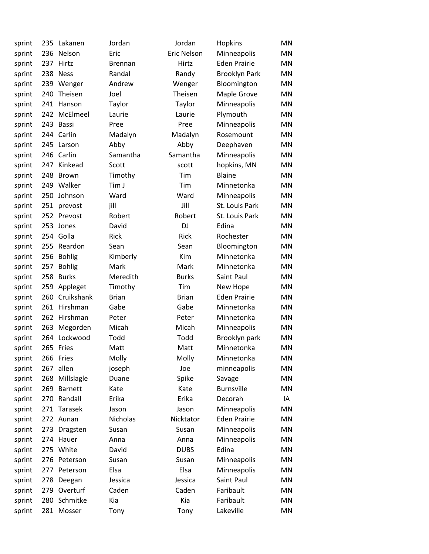| sprint | 235 | Lakanen        | Jordan         | Jordan             | Hopkins              | <b>MN</b> |
|--------|-----|----------------|----------------|--------------------|----------------------|-----------|
| sprint | 236 | Nelson         | Eric           | <b>Eric Nelson</b> | Minneapolis          | MN        |
| sprint | 237 | Hirtz          | <b>Brennan</b> | Hirtz              | <b>Eden Prairie</b>  | MN        |
| sprint | 238 | <b>Ness</b>    | Randal         | Randy              | <b>Brooklyn Park</b> | MN        |
| sprint | 239 | Wenger         | Andrew         | Wenger             | Bloomington          | MN        |
| sprint | 240 | Theisen        | Joel           | Theisen            | Maple Grove          | MN        |
| sprint | 241 | Hanson         | Taylor         | Taylor             | Minneapolis          | MN        |
| sprint | 242 | McElmeel       | Laurie         | Laurie             | Plymouth             | MN        |
| sprint | 243 | Bassi          | Pree           | Pree               | Minneapolis          | MN        |
| sprint | 244 | Carlin         | Madalyn        | Madalyn            | Rosemount            | MN        |
| sprint | 245 | Larson         | Abby           | Abby               | Deephaven            | <b>MN</b> |
| sprint | 246 | Carlin         | Samantha       | Samantha           | Minneapolis          | MN        |
| sprint | 247 | Kinkead        | Scott          | scott              | hopkins, MN          | MN        |
| sprint | 248 | <b>Brown</b>   | Timothy        | Tim                | <b>Blaine</b>        | <b>MN</b> |
| sprint | 249 | Walker         | Tim J          | Tim                | Minnetonka           | <b>MN</b> |
| sprint | 250 | Johnson        | Ward           | Ward               | Minneapolis          | MN        |
| sprint |     | 251 prevost    | jill           | Jill               | St. Louis Park       | MN        |
| sprint | 252 | Prevost        | Robert         | Robert             | St. Louis Park       | <b>MN</b> |
| sprint | 253 | Jones          | David          | <b>DJ</b>          | Edina                | <b>MN</b> |
| sprint | 254 | Golla          | Rick           | Rick               | Rochester            | <b>MN</b> |
| sprint | 255 | Reardon        | Sean           | Sean               | Bloomington          | MN        |
| sprint | 256 | <b>Bohlig</b>  | Kimberly       | Kim                | Minnetonka           | MN        |
| sprint | 257 | <b>Bohlig</b>  | Mark           | Mark               | Minnetonka           | MN        |
| sprint | 258 | <b>Burks</b>   | Meredith       | <b>Burks</b>       | Saint Paul           | <b>MN</b> |
| sprint | 259 | Appleget       | Timothy        | Tim                | New Hope             | MN        |
| sprint | 260 | Cruikshank     | <b>Brian</b>   | <b>Brian</b>       | <b>Eden Prairie</b>  | <b>MN</b> |
| sprint | 261 | Hirshman       | Gabe           | Gabe               | Minnetonka           | MN        |
| sprint | 262 | Hirshman       | Peter          | Peter              | Minnetonka           | MN        |
| sprint | 263 | Megorden       | Micah          | Micah              | Minneapolis          | MN        |
| sprint | 264 | Lockwood       | Todd           | Todd               | Brooklyn park        | MN        |
| sprint |     | 265 Fries      | Matt           | Matt               | Minnetonka           | MN        |
| sprint |     | 266 Fries      | Molly          | Molly              | Minnetonka           | MN        |
| sprint | 267 | allen          | joseph         | Joe                | minneapolis          | MN        |
| sprint | 268 | Millslagle     | Duane          | Spike              | Savage               | MN        |
| sprint | 269 | <b>Barnett</b> | Kate           | Kate               | <b>Burnsville</b>    | MN        |
| sprint | 270 | Randall        | Erika          | Erika              | Decorah              | IA        |
| sprint | 271 | Tarasek        | Jason          | Jason              | Minneapolis          | <b>MN</b> |
| sprint |     | 272 Aunan      | Nicholas       | Nicktator          | <b>Eden Prairie</b>  | MN        |
| sprint | 273 | Dragsten       | Susan          | Susan              | Minneapolis          | MN        |
| sprint | 274 | Hauer          | Anna           | Anna               | Minneapolis          | MN        |
| sprint | 275 | White          | David          | <b>DUBS</b>        | Edina                | MN        |
| sprint | 276 | Peterson       | Susan          | Susan              | Minneapolis          | MN        |
| sprint | 277 | Peterson       | Elsa           | Elsa               | Minneapolis          | MN        |
| sprint | 278 | Deegan         | Jessica        | Jessica            | Saint Paul           | MN        |
| sprint | 279 | Overturf       | Caden          | Caden              | Faribault            | MN        |
| sprint | 280 | Schmitke       | Kia            | Kia                | Faribault            | MN        |
| sprint |     | 281 Mosser     | Tony           | Tony               | Lakeville            | MN        |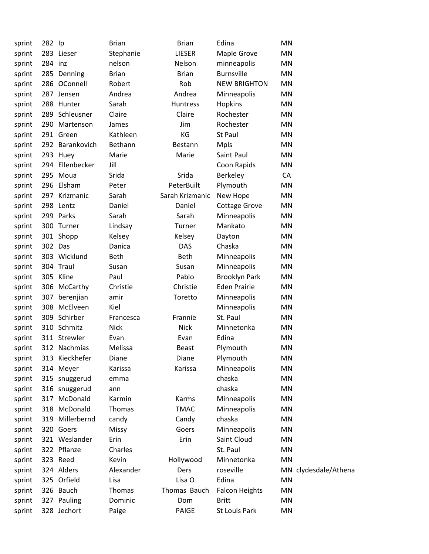| sprint | 282 lp  |                 | <b>Brian</b> | <b>Brian</b>    | Edina                 | MN |                      |
|--------|---------|-----------------|--------------|-----------------|-----------------------|----|----------------------|
| sprint |         | 283 Lieser      | Stephanie    | LIESER          | Maple Grove           | MN |                      |
| sprint | 284 inz |                 | nelson       | Nelson          | minneapolis           | MN |                      |
| sprint |         | 285 Denning     | <b>Brian</b> | <b>Brian</b>    | <b>Burnsville</b>     | MN |                      |
| sprint |         | 286 OConnell    | Robert       | Rob             | <b>NEW BRIGHTON</b>   | ΜN |                      |
| sprint |         | 287 Jensen      | Andrea       | Andrea          | Minneapolis           | MN |                      |
| sprint |         | 288 Hunter      | Sarah        | Huntress        | Hopkins               | MN |                      |
| sprint |         | 289 Schleusner  | Claire       | Claire          | Rochester             | MN |                      |
| sprint |         | 290 Martenson   | James        | Jim             | Rochester             | MN |                      |
| sprint |         | 291 Green       | Kathleen     | KG              | St Paul               | MN |                      |
| sprint |         | 292 Barankovich | Bethann      | Bestann         | <b>Mpls</b>           | MN |                      |
| sprint |         | 293 Huey        | Marie        | Marie           | Saint Paul            | MN |                      |
| sprint | 294     | Ellenbecker     | Jill         |                 | Coon Rapids           | MN |                      |
| sprint |         | 295 Moua        | Srida        | Srida           | Berkeley              | CA |                      |
| sprint |         | 296 Elsham      | Peter        | PeterBuilt      | Plymouth              | MN |                      |
| sprint |         | 297 Krizmanic   | Sarah        | Sarah Krizmanic | New Hope              | MN |                      |
| sprint |         | 298 Lentz       | Daniel       | Daniel          | <b>Cottage Grove</b>  | MN |                      |
| sprint |         | 299 Parks       | Sarah        | Sarah           | Minneapolis           | MN |                      |
| sprint |         | 300 Turner      | Lindsay      | Turner          | Mankato               | ΜN |                      |
| sprint |         | 301 Shopp       | Kelsey       | Kelsey          | Dayton                | MN |                      |
| sprint | 302 Das |                 | Danica       | <b>DAS</b>      | Chaska                | MN |                      |
| sprint |         | 303 Wicklund    | <b>Beth</b>  | Beth            | Minneapolis           | MN |                      |
| sprint |         | 304 Traul       | Susan        | Susan           | Minneapolis           | MN |                      |
| sprint |         | 305 Kline       | Paul         | Pablo           | <b>Brooklyn Park</b>  | ΜN |                      |
| sprint |         | 306 McCarthy    | Christie     | Christie        | <b>Eden Prairie</b>   | MN |                      |
| sprint | 307     | berenjian       | amir         | Toretto         | Minneapolis           | MN |                      |
| sprint | 308     | McElveen        | Kiel         |                 | Minneapolis           | MN |                      |
| sprint |         | 309 Schirber    | Francesca    | Frannie         | St. Paul              | MN |                      |
| sprint |         | 310 Schmitz     | <b>Nick</b>  | <b>Nick</b>     | Minnetonka            | MN |                      |
| sprint |         | 311 Strewler    | Evan         | Evan            | Edina                 | MN |                      |
| sprint |         | 312 Nachmias    | Melissa      | <b>Beast</b>    | Plymouth              | MN |                      |
| sprint |         | 313 Kieckhefer  | Diane        | Diane           | Plymouth              | MN |                      |
| sprint |         | 314 Meyer       | Karissa      | Karissa         | Minneapolis           | MN |                      |
| sprint |         | 315 snuggerud   | emma         |                 | chaska                | MN |                      |
| sprint |         | 316 snuggerud   | ann          |                 | chaska                | MN |                      |
| sprint | 317     | McDonald        | Karmin       | Karms           | Minneapolis           | MN |                      |
| sprint | 318     | McDonald        | Thomas       | <b>TMAC</b>     | Minneapolis           | MN |                      |
| sprint | 319     | Millerbernd     | candy        | Candy           | chaska                | MN |                      |
| sprint |         | 320 Goers       | Missy        | Goers           | Minneapolis           | MN |                      |
| sprint |         | 321 Weslander   | Erin         | Erin            | Saint Cloud           | MN |                      |
| sprint |         | 322 Pflanze     | Charles      |                 | St. Paul              | MN |                      |
| sprint |         | 323 Reed        | Kevin        | Hollywood       | Minnetonka            | MN |                      |
| sprint |         | 324 Alders      | Alexander    | Ders            | roseville             |    | MN clydesdale/Athena |
| sprint |         | 325 Orfield     | Lisa         | Lisa O          | Edina                 | MN |                      |
| sprint |         | 326 Bauch       | Thomas       | Thomas Bauch    | <b>Falcon Heights</b> | MN |                      |
| sprint |         | 327 Pauling     | Dominic      | Dom             | <b>Britt</b>          | MN |                      |
| sprint |         | 328 Jechort     | Paige        | PAIGE           | St Louis Park         | MN |                      |
|        |         |                 |              |                 |                       |    |                      |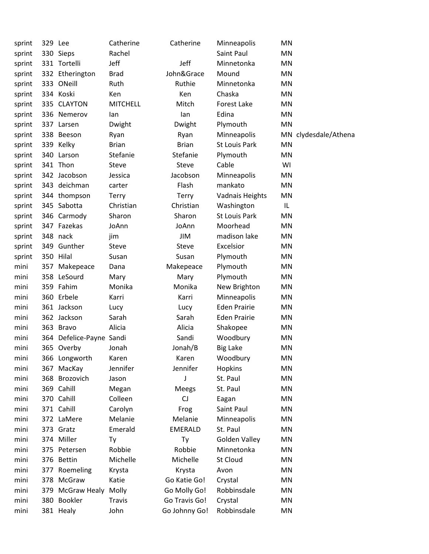| sprint | 329 Lee |                          | Catherine       | Catherine      | Minneapolis            | MN                   |
|--------|---------|--------------------------|-----------------|----------------|------------------------|----------------------|
| sprint |         | 330 Sieps                | Rachel          |                | Saint Paul             | MN                   |
| sprint |         | 331 Tortelli             | Jeff            | Jeff           | Minnetonka             | <b>MN</b>            |
| sprint |         | 332 Etherington          | <b>Brad</b>     | John&Grace     | Mound                  | <b>MN</b>            |
| sprint |         | 333 ONeill               | Ruth            | Ruthie         | Minnetonka             | MN                   |
| sprint |         | 334 Koski                | Ken             | Ken            | Chaska                 | <b>MN</b>            |
| sprint |         | 335 CLAYTON              | <b>MITCHELL</b> | Mitch          | <b>Forest Lake</b>     | <b>MN</b>            |
| sprint |         | 336 Nemerov              | lan             | lan            | Edina                  | <b>MN</b>            |
| sprint |         | 337 Larsen               | Dwight          | Dwight         | Plymouth               | <b>MN</b>            |
| sprint |         | 338 Beeson               | Ryan            | Ryan           | Minneapolis            | MN clydesdale/Athena |
| sprint |         | 339 Kelky                | <b>Brian</b>    | <b>Brian</b>   | <b>St Louis Park</b>   | <b>MN</b>            |
| sprint |         | 340 Larson               | Stefanie        | Stefanie       | Plymouth               | MN                   |
| sprint |         | 341 Thon                 | Steve           | Steve          | Cable                  | WI                   |
| sprint |         | 342 Jacobson             | Jessica         | Jacobson       | Minneapolis            | MN                   |
| sprint |         | 343 deichman             | carter          | Flash          | mankato                | <b>MN</b>            |
| sprint |         | 344 thompson             | Terry           | <b>Terry</b>   | <b>Vadnais Heights</b> | <b>MN</b>            |
| sprint |         | 345 Sabotta              | Christian       | Christian      | Washington             | IL                   |
| sprint |         | 346 Carmody              | Sharon          | Sharon         | St Louis Park          | MN                   |
| sprint |         | 347 Fazekas              | JoAnn           | JoAnn          | Moorhead               | <b>MN</b>            |
| sprint |         | 348 nack                 | jim             | JIM            | madison lake           | <b>MN</b>            |
| sprint |         | 349 Gunther              | Steve           | Steve          | Excelsior              | <b>MN</b>            |
| sprint |         | 350 Hilal                | Susan           | Susan          | Plymouth               | <b>MN</b>            |
| mini   |         | 357 Makepeace            | Dana            | Makepeace      | Plymouth               | <b>MN</b>            |
| mini   |         | 358 LeSourd              | Mary            | Mary           | Plymouth               | MN                   |
| mini   |         | 359 Fahim                | Monika          | Monika         | New Brighton           | <b>MN</b>            |
| mini   |         | 360 Erbele               | Karri           | Karri          | Minneapolis            | MN                   |
| mini   |         | 361 Jackson              | Lucy            | Lucy           | <b>Eden Prairie</b>    | <b>MN</b>            |
| mini   |         | 362 Jackson              | Sarah           | Sarah          | <b>Eden Prairie</b>    | <b>MN</b>            |
| mini   |         | 363 Bravo                | Alicia          | Alicia         | Shakopee               | <b>MN</b>            |
| mini   |         | 364 Defelice-Payne Sandi |                 | Sandi          | Woodbury               | <b>MN</b>            |
| mini   |         | 365 Overby               | Jonah           | Jonah/B        | <b>Big Lake</b>        | <b>MN</b>            |
| mini   |         | 366 Longworth            | Karen           | Karen          | Woodbury               | MN                   |
| mini   |         | 367 MacKay               | Jennifer        | Jennifer       | Hopkins                | MN                   |
| mini   |         | 368 Brozovich            | Jason           | J              | St. Paul               | <b>MN</b>            |
| mini   |         | 369 Cahill               | Megan           | Meegs          | St. Paul               | <b>MN</b>            |
| mini   |         | 370 Cahill               | Colleen         | CJ             | Eagan                  | <b>MN</b>            |
| mini   |         | 371 Cahill               | Carolyn         | Frog           | Saint Paul             | <b>MN</b>            |
| mini   |         | 372 LaMere               | Melanie         | Melanie        | Minneapolis            | MN                   |
| mini   |         | 373 Gratz                | Emerald         | <b>EMERALD</b> | St. Paul               | <b>MN</b>            |
| mini   |         | 374 Miller               | Ty              | Ty             | Golden Valley          | <b>MN</b>            |
| mini   |         | 375 Petersen             | Robbie          | Robbie         | Minnetonka             | <b>MN</b>            |
| mini   |         | 376 Bettin               | Michelle        | Michelle       | St Cloud               | <b>MN</b>            |
| mini   |         | 377 Roemeling            | Krysta          | Krysta         | Avon                   | MN                   |
| mini   |         | 378 McGraw               | Katie           | Go Katie Go!   | Crystal                | <b>MN</b>            |
| mini   |         | 379 McGraw Healy         | Molly           | Go Molly Go!   | Robbinsdale            | <b>MN</b>            |
| mini   |         | 380 Bookler              | <b>Travis</b>   | Go Travis Go!  | Crystal                | MN                   |
| mini   |         | 381 Healy                | John            | Go Johnny Go!  | Robbinsdale            | MN                   |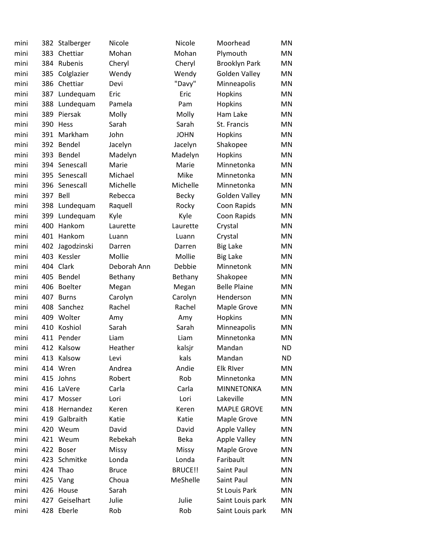| mini | 382 | Stalberger     | Nicole       | Nicole       | Moorhead             | MN        |
|------|-----|----------------|--------------|--------------|----------------------|-----------|
| mini | 383 | Chettiar       | Mohan        | Mohan        | Plymouth             | MN        |
| mini | 384 | Rubenis        | Cheryl       | Cheryl       | <b>Brooklyn Park</b> | MN        |
| mini | 385 | Colglazier     | Wendy        | Wendy        | <b>Golden Valley</b> | MN        |
| mini | 386 | Chettiar       | Devi         | "Davy"       | Minneapolis          | MN        |
| mini | 387 | Lundequam      | Eric         | Eric         | Hopkins              | MN        |
| mini | 388 | Lundequam      | Pamela       | Pam          | Hopkins              | MN        |
| mini | 389 | Piersak        | Molly        | Molly        | Ham Lake             | MN        |
| mini | 390 | <b>Hess</b>    | Sarah        | Sarah        | St. Francis          | MN        |
| mini | 391 | Markham        | John         | <b>JOHN</b>  | Hopkins              | MN        |
| mini | 392 | Bendel         | Jacelyn      | Jacelyn      | Shakopee             | MN        |
| mini | 393 | Bendel         | Madelyn      | Madelyn      | Hopkins              | MN        |
| mini | 394 | Senescall      | Marie        | Marie        | Minnetonka           | MN        |
| mini |     | 395 Senescall  | Michael      | Mike         | Minnetonka           | MN        |
| mini | 396 | Senescall      | Michelle     | Michelle     | Minnetonka           | MN        |
| mini | 397 | Bell           | Rebecca      | <b>Becky</b> | Golden Valley        | MN        |
| mini | 398 | Lundequam      | Raquell      | Rocky        | Coon Rapids          | MN        |
| mini | 399 | Lundequam      | Kyle         | Kyle         | Coon Rapids          | MN        |
| mini | 400 | Hankom         | Laurette     | Laurette     | Crystal              | MN        |
| mini | 401 | Hankom         | Luann        | Luann        | Crystal              | MN        |
| mini | 402 | Jagodzinski    | Darren       | Darren       | <b>Big Lake</b>      | MN        |
| mini | 403 | Kessler        | Mollie       | Mollie       | <b>Big Lake</b>      | MN        |
| mini | 404 | Clark          | Deborah Ann  | Debbie       | Minnetonk            | MN        |
| mini | 405 | Bendel         | Bethany      | Bethany      | Shakopee             | MN        |
| mini | 406 | <b>Boelter</b> | Megan        | Megan        | <b>Belle Plaine</b>  | MN        |
| mini | 407 | <b>Burns</b>   | Carolyn      | Carolyn      | Henderson            | MN        |
| mini | 408 | Sanchez        | Rachel       | Rachel       | Maple Grove          | MN        |
| mini | 409 | Wolter         | Amy          | Amy          | Hopkins              | MN        |
| mini | 410 | Koshiol        | Sarah        | Sarah        | Minneapolis          | MN        |
| mini | 411 | Pender         | Liam         | Liam         | Minnetonka           | <b>MN</b> |
| mini |     | 412 Kalsow     | Heather      | kalsjr       | Mandan               | <b>ND</b> |
| mini |     | 413 Kalsow     | Levi         | kals         | Mandan               | ND.       |
| mini |     | 414 Wren       | Andrea       | Andie        | <b>Elk River</b>     | MN        |
| mini | 415 | Johns          | Robert       | Rob          | Minnetonka           | MN        |
| mini | 416 | LaVere         | Carla        | Carla        | <b>MINNETONKA</b>    | MN        |
| mini |     | 417 Mosser     | Lori         | Lori         | Lakeville            | ΜN        |
| mini | 418 | Hernandez      | Keren        | Keren        | <b>MAPLE GROVE</b>   | MN        |
| mini | 419 | Galbraith      | Katie        | Katie        | Maple Grove          | MN        |
| mini | 420 | Weum           | David        | David        | <b>Apple Valley</b>  | MN        |
| mini | 421 | Weum           | Rebekah      | Beka         | <b>Apple Valley</b>  | MN        |
| mini |     | 422 Boser      | Missy        | Missy        | Maple Grove          | MN        |
| mini | 423 | Schmitke       | Londa        | Londa        | Faribault            | MN        |
| mini |     | 424 Thao       | <b>Bruce</b> | BRUCE!!      | Saint Paul           | MN        |
| mini | 425 | Vang           | Choua        | MeShelle     | Saint Paul           | MN        |
| mini | 426 | House          | Sarah        |              | St Louis Park        | MN        |
| mini | 427 | Geiselhart     | Julie        | Julie        | Saint Louis park     | MN        |
| mini |     | 428 Eberle     | Rob          | Rob          | Saint Louis park     | MN        |